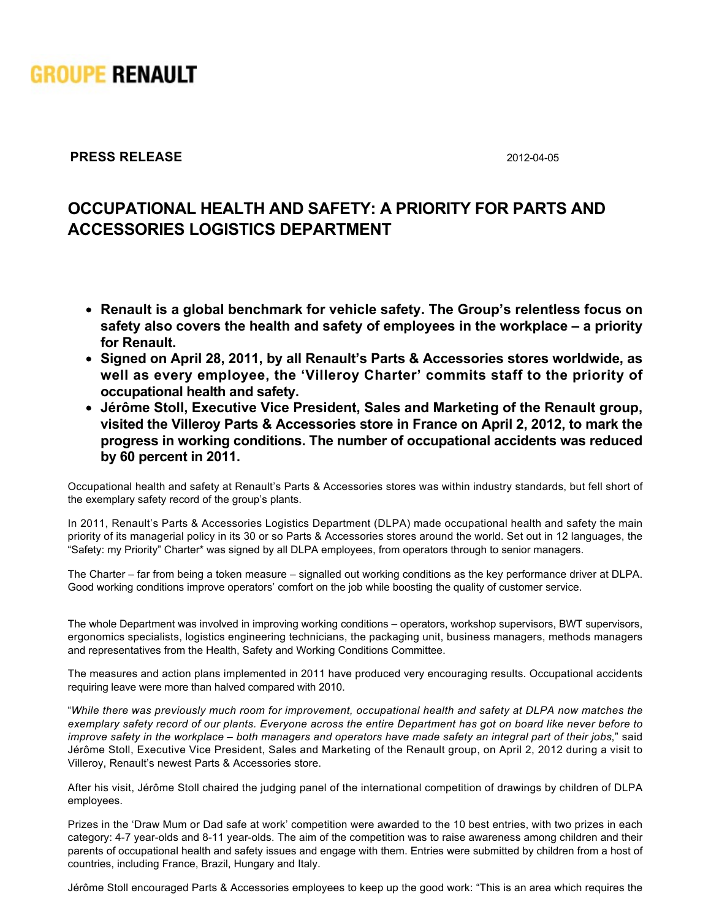

## **PRESS RELEASE** 2012-04-05

## **OCCUPATIONAL HEALTH AND SAFETY: A PRIORITY FOR PARTS AND ACCESSORIES LOGISTICS DEPARTMENT**

- **Renault is a global benchmark for vehicle safety. The Group's relentless focus on safety also covers the health and safety of employees in the workplace – a priority for Renault.**
- **Signed on April 28, 2011, by all Renault's Parts & Accessories stores worldwide, as well as every employee, the 'Villeroy Charter' commits staff to the priority of occupational health and safety.**
- **Jérôme Stoll, Executive Vice President, Sales and Marketing of the Renault group, visited the Villeroy Parts & Accessories store in France on April 2, 2012, to mark the progress in working conditions. The number of occupational accidents was reduced by 60 percent in 2011.**

Occupational health and safety at Renault's Parts & Accessories stores was within industry standards, but fell short of the exemplary safety record of the group's plants.

In 2011, Renault's Parts & Accessories Logistics Department (DLPA) made occupational health and safety the main priority of its managerial policy in its 30 or so Parts & Accessories stores around the world. Set out in 12 languages, the "Safety: my Priority" Charter\* was signed by all DLPA employees, from operators through to senior managers.

The Charter – far from being a token measure – signalled out working conditions as the key performance driver at DLPA. Good working conditions improve operators' comfort on the job while boosting the quality of customer service.

The whole Department was involved in improving working conditions – operators, workshop supervisors, BWT supervisors, ergonomics specialists, logistics engineering technicians, the packaging unit, business managers, methods managers and representatives from the Health, Safety and Working Conditions Committee.

The measures and action plans implemented in 2011 have produced very encouraging results. Occupational accidents requiring leave were more than halved compared with 2010.

"*While there was previously much room for improvement, occupational health and safety at DLPA now matches the exemplary safety record of our plants. Everyone across the entire Department has got on board like never before to improve safety in the workplace – both managers and operators have made safety an integral part of their jobs*," said Jérôme Stoll, Executive Vice President, Sales and Marketing of the Renault group, on April 2, 2012 during a visit to Villeroy, Renault's newest Parts & Accessories store.

After his visit, Jérôme Stoll chaired the judging panel of the international competition of drawings by children of DLPA employees.

Prizes in the 'Draw Mum or Dad safe at work' competition were awarded to the 10 best entries, with two prizes in each category: 4-7 year-olds and 8-11 year-olds. The aim of the competition was to raise awareness among children and their parents of occupational health and safety issues and engage with them. Entries were submitted by children from a host of countries, including France, Brazil, Hungary and Italy.

Jérôme Stoll encouraged Parts & Accessories employees to keep up the good work: "This is an area which requires the